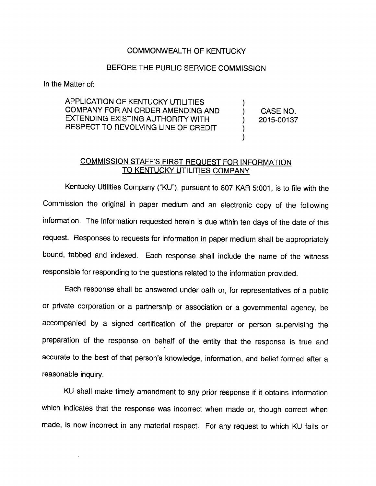## COMMONWEALTH OF KENTUCKY

## BEFORE THE PUBLIC SERVICE COMMISSION

In the Matter of:

APPLICATION OF KENTUCKY UTILITIES COMPANY FOR AN ORDER AMENDING AND EXTENDING EXISTING AUTHORITY WITH RESPECT TO REVOLVING LINE OF CREDIT

CASE NO. 2015-00137

## COMMISSION STAFF'S FIRST REQUEST FOR INFORMATION TO KENTUCKY UTILITIES COMPANY

Kentucky Utilities Company ("KU"), pursuant to 807 KAR 5:001, is to file with the Commission the original in paper medium and an electronic copy of the following information. The information requested herein is due within ten days of the date of this request. Responses to requests for information in paper medium shall be appropriately bound, tabbed and indexed. Each response shall include the name of the witness responsible for responding to the questions related to the information provided.

Each response shall be answered under oath or, for representatives of a public or private corporation or a partnership or association or a govemmental agency, be accompanied by a signed certification of the preparer or person supervising the preparation of the response on behalf of the entity that the response is true and accurate to the best of that person's knowledge. Information, and belief formed after a reasonable inquiry.

KU shall make timely amendment to any prior response if it obtains information which indicates that the response was incorrect when made or, though correct when made, is now incorrect in any material respect. For any request to which KU fails or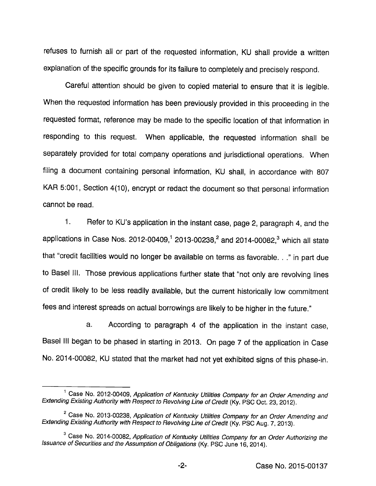refuses to furnish all or part of the requested information, KU shall provide a written explanation of the specific grounds for its failure to completely and precisely respond.

Careful attention should be given to copied material to ensure that it is legible. When the requested information has been previously provided in this proceeding in the requested format, reference may be made to the specific location of that information in responding to this request. When applicable, the requested information shall be separately provided for total company operations and jurisdictional operations. When filing a document containing personal information, KU shall, in accordance with 807 KAR 5:001, Section 4(10), encrypt or redact the document so that personal information cannot be read.

1. Refer to KU's application in the instant case, page 2, paragraph 4, and the applications in Case Nos. 2012-00409,<sup>1</sup> 2013-00238,<sup>2</sup> and 2014-00082,<sup>3</sup> which all state that "credit facilities would no longer be available on terms as favorable. . ." in part due to Basel III. Those previous applications further state that "not only are revolving lines of credit likely to be less readily available, but the current historically low commitment fees and interest spreads on actual borrowings are likely to be higher in the future."

a. According to paragraph 4 of the application in the instant case, Basel III began to be phased in starting in 2013. On page 7 of the application in Case No. 2014-00082, KU stated that the market had not yet exhibited signs of this phase-in.

<sup>&</sup>lt;sup>1</sup> Case No. 2012-00409, Application of Kentucky Utilities Company for an Order Amending and Extending Existing Authority with Respect to Revolving Line of Credit (Ky. PSC Oct. 23, 2012).

<sup>&</sup>lt;sup>2</sup> Case No. 2013-00238, Application of Kentucky Utilities Company for an Order Amending and Extending Existing Authority with Respect to Revolving Line of Credit (Ky. PSC Aug. 7, 2013).

 $3$  Case No. 2014-00082, Application of Kentucky Utilities Company for an Order Authorizing the Issuance of Securities and the Assumption of Obligations (Ky. PSC June 16, 2014).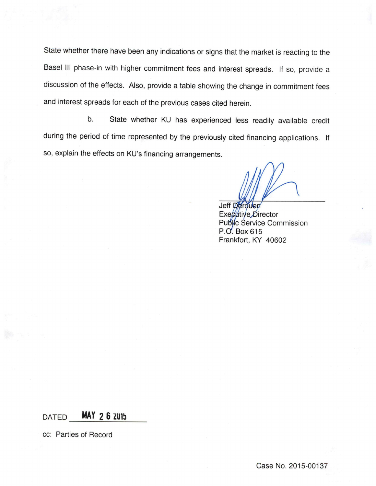State whether there have been any indications or signs that the market is reacting to the Basel III phase-in with higher commitment fees and interest spreads. If so, provide a discussion of the effects. Also, provide a table showing the change in commitment fees and interest spreads for each of the previous cases cited herein.

b. State whether KU has experienced less readily available credit during the period of time represented by the previously cited financing applications. If so, explain the effects on KU's financing arrangements.

**Jeff Derouen** Executive Director Public Service Commission P.O. Box 615 Frankfort, KY 40602

DATED MAY 2 6 2015

cc: Parties of Record